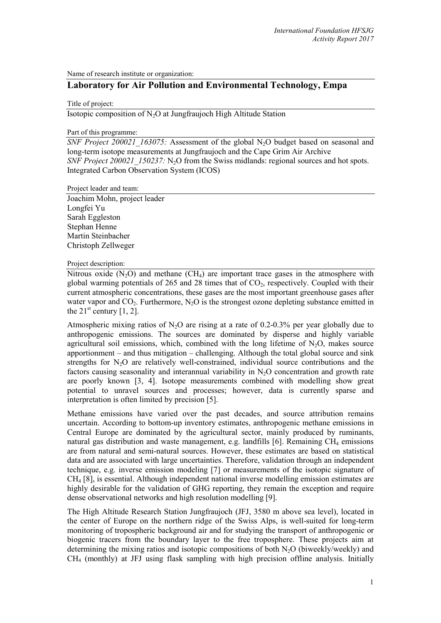Name of research institute or organization:

# **Laboratory for Air Pollution and Environmental Technology, Empa**

Title of project:

Isotopic composition of N2O at Jungfraujoch High Altitude Station

#### Part of this programme:

*SNF Project 200021 163075:* Assessment of the global N<sub>2</sub>O budget based on seasonal and [long-term isotope measurements at Jungfraujoch and the Cape Grim Air Archive](https://www.mysnf.ch/grant.aspx?id=21ef4402-5b5b-44af-acec-9ce7f0078f1c) *SNF Project 200021\_150237:* N<sub>2</sub>O from the Swiss midlands: regional sources and hot spots. Integrated Carbon Observation System (ICOS)

Project leader and team:

Joachim Mohn, project leader Longfei Yu Sarah Eggleston Stephan Henne Martin Steinbacher Christoph Zellweger

## Project description:

Nitrous oxide  $(N_2O)$  and methane  $(CH_4)$  are important trace gases in the atmosphere with global warming potentials of 265 and 28 times that of  $CO<sub>2</sub>$ , respectively. Coupled with their current atmospheric concentrations, these gases are the most important greenhouse gases after water vapor and  $CO_2$ . Furthermore,  $N_2O$  is the strongest ozone depleting substance emitted in the  $21^{\text{st}}$  century [1, 2].

Atmospheric mixing ratios of  $N_2O$  are rising at a rate of 0.2-0.3% per year globally due to anthropogenic emissions. The sources are dominated by disperse and highly variable agricultural soil emissions, which, combined with the long lifetime of  $N_2O$ , makes source apportionment – and thus mitigation – challenging. Although the total global source and sink strengths for N<sub>2</sub>O are relatively well-constrained, individual source contributions and the factors causing seasonality and interannual variability in  $N<sub>2</sub>O$  concentration and growth rate are poorly known [3, 4]. Isotope measurements combined with modelling show great potential to unravel sources and processes; however, data is currently sparse and interpretation is often limited by precision [5].

Methane emissions have varied over the past decades, and source attribution remains uncertain. According to bottom-up inventory estimates, anthropogenic methane emissions in Central Europe are dominated by the agricultural sector, mainly produced by ruminants, natural gas distribution and waste management, e.g. landfills [6]. Remaining  $CH_4$  emissions are from natural and semi-natural sources. However, these estimates are based on statistical data and are associated with large uncertainties. Therefore, validation through an independent technique, e.g. inverse emission modeling [7] or measurements of the isotopic signature of CH4 [8], is essential. Although independent national inverse modelling emission estimates are highly desirable for the validation of GHG reporting, they remain the exception and require dense observational networks and high resolution modelling [9].

The High Altitude Research Station Jungfraujoch (JFJ, 3580 m above sea level), located in the center of Europe on the northern ridge of the Swiss Alps, is well-suited for long-term monitoring of tropospheric background air and for studying the transport of anthropogenic or biogenic tracers from the boundary layer to the free troposphere. These projects aim at determining the mixing ratios and isotopic compositions of both  $N_2O$  (biweekly/weekly) and CH4 (monthly) at JFJ using flask sampling with high precision offline analysis. Initially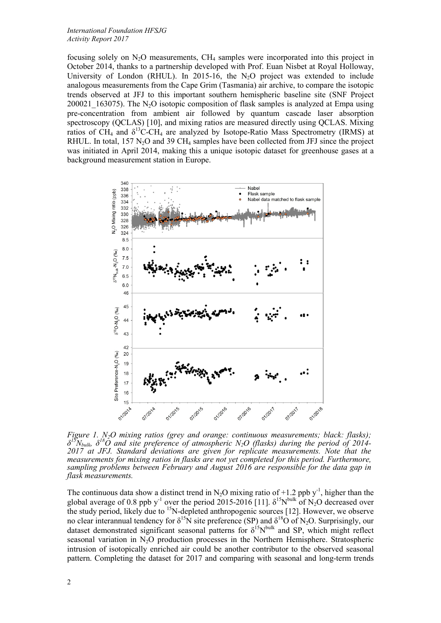focusing solely on  $N_2O$  measurements, CH<sub>4</sub> samples were incorporated into this project in October 2014, thanks to a partnership developed with Prof. Euan Nisbet at Royal Holloway, University of London (RHUL). In 2015-16, the  $N_2O$  project was extended to include analogous measurements from the Cape Grim (Tasmania) air archive, to compare the isotopic trends observed at JFJ to this important southern hemispheric baseline site (SNF Project 200021  $163075$ ). The N<sub>2</sub>O isotopic composition of flask samples is analyzed at Empa using pre-concentration from ambient air followed by quantum cascade laser absorption spectroscopy (QCLAS) [10], and mixing ratios are measured directly using QCLAS. Mixing ratios of CH<sub>4</sub> and  $\delta^{13}$ C-CH<sub>4</sub> are analyzed by Isotope-Ratio Mass Spectrometry (IRMS) at RHUL. In total, 157  $N_2O$  and 39 CH<sub>4</sub> samples have been collected from JFJ since the project was initiated in April 2014, making this a unique isotopic dataset for greenhouse gases at a background measurement station in Europe.



*Figure 1. N2O mixing ratios (grey and orange: continuous measurements; black: flasks);*  $\delta^{15}N_{bulk}$ ,  $\delta^{18}O$  and site preference of atmospheric N<sub>2</sub>O (flasks) during the period of 2014-2017 at JFJ. Standard deviations are given for replicate measurements. Note that the *measurements for mixing ratios in flasks are not yet completed for this period. Furthermore, sampling problems between February and August 2016 are responsible for the data gap in flask measurements.*

The continuous data show a distinct trend in N<sub>2</sub>O mixing ratio of +1.2 ppb y<sup>-1</sup>, higher than the global average of 0.8 ppb y<sup>-1</sup> over the period 2015-2016 [11].  $\delta^{15}N^{bulk}$  of N<sub>2</sub>O decreased over the study period, likely due to  $15N$ -depleted anthropogenic sources [12]. However, we observe no clear interannual tendency for  $\delta^{15}N$  site preference (SP) and  $\delta^{18}O$  of N<sub>2</sub>O. Surprisingly, our dataset demonstrated significant seasonal patterns for  $\delta^{15}N^{bulk}$  and SP, which might reflect seasonal variation in N<sub>2</sub>O production processes in the Northern Hemisphere. Stratospheric intrusion of isotopically enriched air could be another contributor to the observed seasonal pattern. Completing the dataset for 2017 and comparing with seasonal and long-term trends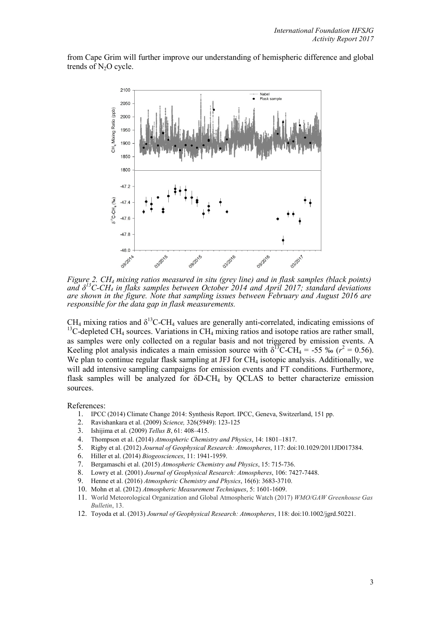from Cape Grim will further improve our understanding of hemispheric difference and global trends of  $N_2O$  cycle.



*Figure 2. CH4 mixing ratios measured in situ (grey line) and in flask samples (black points) and δ<sup>13</sup> C-CH4 in flaks samples between October 2014 and April 2017; standard deviations are shown in the figure. Note that sampling issues between February and August 2016 are responsible for the data gap in flask measurements.*

 $CH_4$  mixing ratios and  $\delta^{13}$ C-CH<sub>4</sub> values are generally anti-correlated, indicating emissions of <sup>13</sup>C-depleted CH<sub>4</sub> sources. Variations in CH<sub>4</sub> mixing ratios and isotope ratios are rather small, as samples were only collected on a regular basis and not triggered by emission events. A Keeling plot analysis indicates a main emission source with  $\delta^{13}$ C-CH<sub>4</sub> = -55 ‰ ( $r^2$  = 0.56). We plan to continue regular flask sampling at JFJ for CH<sub>4</sub> isotopic analysis. Additionally, we will add intensive sampling campaigns for emission events and FT conditions. Furthermore, flask samples will be analyzed for  $\delta D-CH_4$  by QCLAS to better characterize emission sources.

References:

- 1. IPCC (2014) Climate Change 2014: Synthesis Report. IPCC, Geneva, Switzerland, 151 pp.
- 2. Ravishankara et al. (2009) *Science,* 326(5949): 123-125
- 3. Ishijima et al. (2009) *Tellus B*, 61: 408–415.
- 4. Thompson et al. (2014) *Atmospheric Chemistry and Physics*, 14: 1801–1817.
- 5. Rigby et al. (2012) *Journal of Geophysical Research: Atmospheres*, 117: doi:10.1029/2011JD017384.
- 6. Hiller et al. (2014) *Biogeosciences*, 11: 1941-1959.
- 7. Bergamaschi et al. (2015) *Atmospheric Chemistry and Physics*, 15: 715-736.
- 8. Lowry et al. (2001) *Journal of Geophysical Research: Atmospheres*, 106: 7427-7448.
- 9. Henne et al. (2016) *Atmospheric Chemistry and Physics*, 16(6): 3683-3710.
- 10. Mohn et al. (2012) *Atmospheric Measurement Techniques*, 5: 1601-1609.
- 11. World Meteorological Organization and Global Atmospheric Watch (2017) *WMO/GAW Greenhouse Gas Bulletin*, 13.
- 12. Toyoda et al. (2013) *Journal of Geophysical Research: Atmospheres*, 118: doi:10.1002/jgrd.50221.